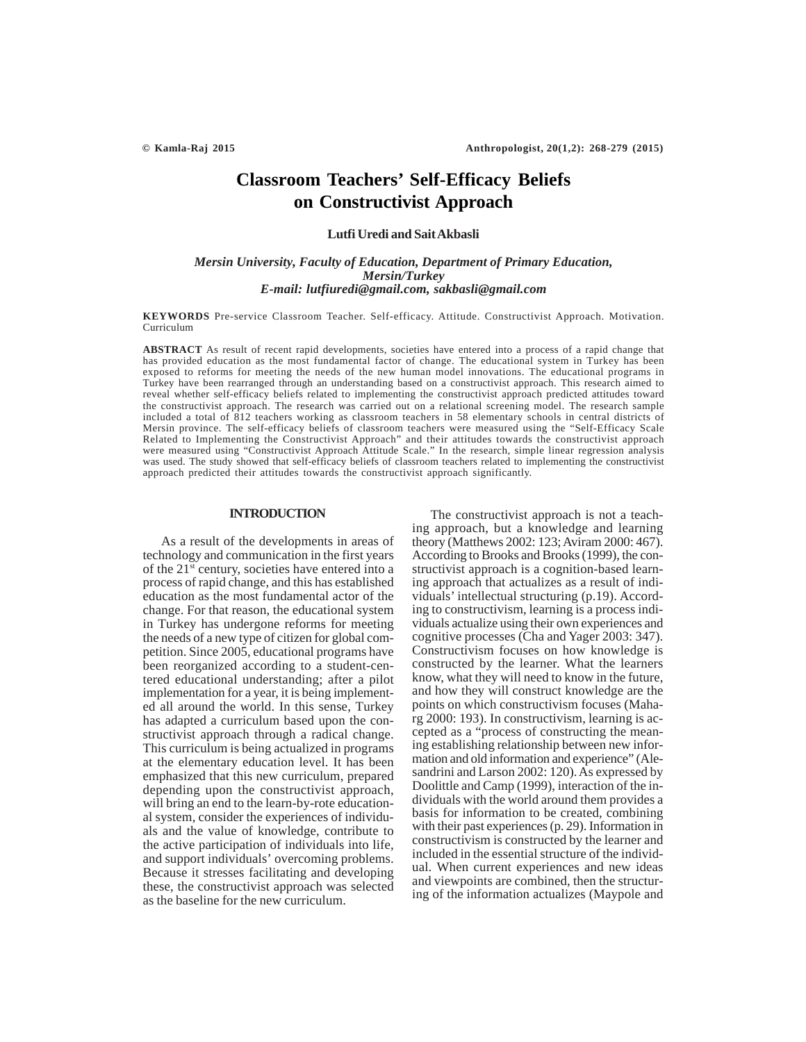# **Classroom Teachers' Self-Efficacy Beliefs on Constructivist Approach**

#### **Lutfi Uredi and Sait Akbasli**

## *Mersin University, Faculty of Education, Department of Primary Education, Mersin/Turkey E-mail: lutfiuredi@gmail.com, sakbasli@gmail.com*

**KEYWORDS** Pre-service Classroom Teacher. Self-efficacy. Attitude. Constructivist Approach. Motivation. Curriculum

**ABSTRACT** As result of recent rapid developments, societies have entered into a process of a rapid change that has provided education as the most fundamental factor of change. The educational system in Turkey has been exposed to reforms for meeting the needs of the new human model innovations. The educational programs in Turkey have been rearranged through an understanding based on a constructivist approach. This research aimed to reveal whether self-efficacy beliefs related to implementing the constructivist approach predicted attitudes toward the constructivist approach. The research was carried out on a relational screening model. The research sample included a total of 812 teachers working as classroom teachers in 58 elementary schools in central districts of Mersin province. The self-efficacy beliefs of classroom teachers were measured using the "Self-Efficacy Scale Related to Implementing the Constructivist Approach" and their attitudes towards the constructivist approach were measured using "Constructivist Approach Attitude Scale." In the research, simple linear regression analysis was used. The study showed that self-efficacy beliefs of classroom teachers related to implementing the constructivist approach predicted their attitudes towards the constructivist approach significantly.

#### **INTRODUCTION**

As a result of the developments in areas of technology and communication in the first years of the 21st century, societies have entered into a process of rapid change, and this has established education as the most fundamental actor of the change. For that reason, the educational system in Turkey has undergone reforms for meeting the needs of a new type of citizen for global competition. Since 2005, educational programs have been reorganized according to a student-centered educational understanding; after a pilot implementation for a year, it is being implemented all around the world. In this sense, Turkey has adapted a curriculum based upon the constructivist approach through a radical change. This curriculum is being actualized in programs at the elementary education level. It has been emphasized that this new curriculum, prepared depending upon the constructivist approach, will bring an end to the learn-by-rote educational system, consider the experiences of individuals and the value of knowledge, contribute to the active participation of individuals into life, and support individuals' overcoming problems. Because it stresses facilitating and developing these, the constructivist approach was selected as the baseline for the new curriculum.

The constructivist approach is not a teaching approach, but a knowledge and learning theory (Matthews 2002: 123; Aviram 2000: 467). According to Brooks and Brooks (1999), the constructivist approach is a cognition-based learning approach that actualizes as a result of individuals' intellectual structuring (p.19). According to constructivism, learning is a process individuals actualize using their own experiences and cognitive processes (Cha and Yager 2003: 347). Constructivism focuses on how knowledge is constructed by the learner. What the learners know, what they will need to know in the future, and how they will construct knowledge are the points on which constructivism focuses (Maharg 2000: 193). In constructivism, learning is accepted as a "process of constructing the meaning establishing relationship between new information and old information and experience" (Alesandrini and Larson 2002: 120). As expressed by Doolittle and Camp (1999), interaction of the individuals with the world around them provides a basis for information to be created, combining with their past experiences (p. 29). Information in constructivism is constructed by the learner and included in the essential structure of the individual. When current experiences and new ideas and viewpoints are combined, then the structuring of the information actualizes (Maypole and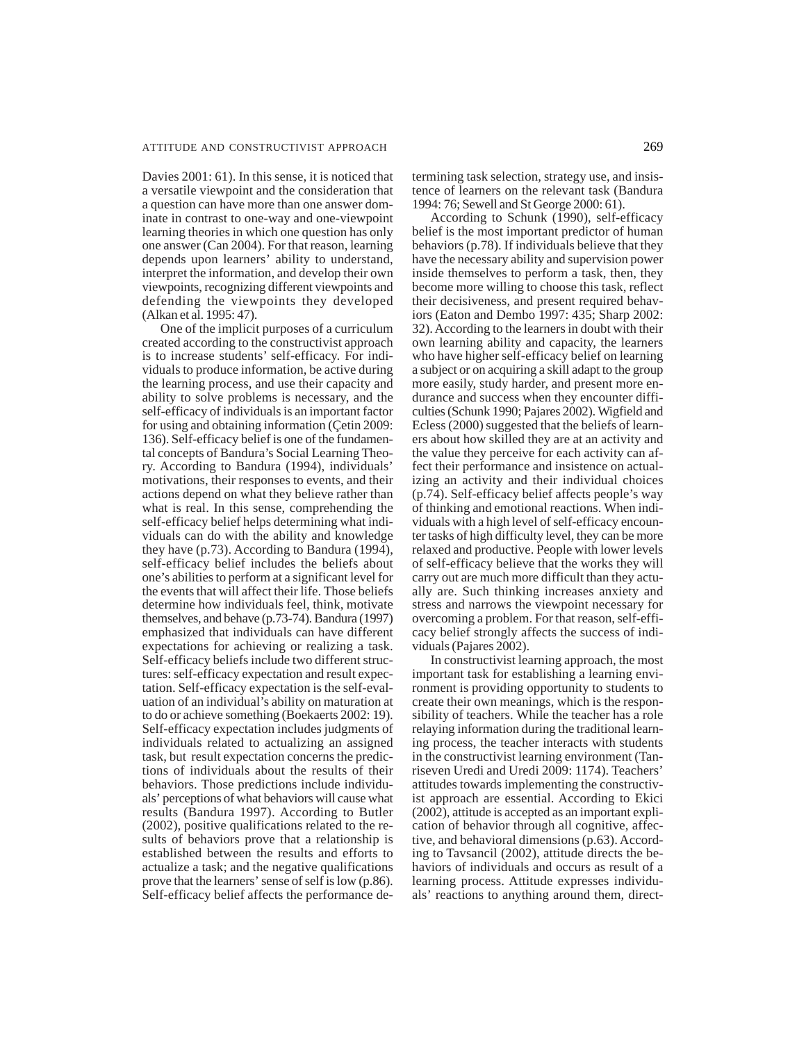#### ATTITUDE AND CONSTRUCTIVIST APPROACH 269

Davies 2001: 61). In this sense, it is noticed that a versatile viewpoint and the consideration that a question can have more than one answer dominate in contrast to one-way and one-viewpoint learning theories in which one question has only one answer (Can 2004). For that reason, learning depends upon learners' ability to understand, interpret the information, and develop their own viewpoints, recognizing different viewpoints and defending the viewpoints they developed (Alkan et al. 1995: 47).

One of the implicit purposes of a curriculum created according to the constructivist approach is to increase students' self-efficacy. For individuals to produce information, be active during the learning process, and use their capacity and ability to solve problems is necessary, and the self-efficacy of individuals is an important factor for using and obtaining information (Çetin 2009: 136). Self-efficacy belief is one of the fundamental concepts of Bandura's Social Learning Theory. According to Bandura (1994), individuals' motivations, their responses to events, and their actions depend on what they believe rather than what is real. In this sense, comprehending the self-efficacy belief helps determining what individuals can do with the ability and knowledge they have (p.73). According to Bandura (1994), self-efficacy belief includes the beliefs about one's abilities to perform at a significant level for the events that will affect their life. Those beliefs determine how individuals feel, think, motivate themselves, and behave (p.73-74). Bandura (1997) emphasized that individuals can have different expectations for achieving or realizing a task. Self-efficacy beliefs include two different structures: self-efficacy expectation and result expectation. Self-efficacy expectation is the self-evaluation of an individual's ability on maturation at to do or achieve something (Boekaerts 2002: 19). Self-efficacy expectation includes judgments of individuals related to actualizing an assigned task, but result expectation concerns the predictions of individuals about the results of their behaviors. Those predictions include individuals' perceptions of what behaviors will cause what results (Bandura 1997). According to Butler (2002), positive qualifications related to the results of behaviors prove that a relationship is established between the results and efforts to actualize a task; and the negative qualifications prove that the learners' sense of self is low (p.86). Self-efficacy belief affects the performance determining task selection, strategy use, and insistence of learners on the relevant task (Bandura 1994: 76; Sewell and St George 2000: 61).

According to Schunk (1990), self-efficacy belief is the most important predictor of human behaviors (p.78). If individuals believe that they have the necessary ability and supervision power inside themselves to perform a task, then, they become more willing to choose this task, reflect their decisiveness, and present required behaviors (Eaton and Dembo 1997: 435; Sharp 2002: 32). According to the learners in doubt with their own learning ability and capacity, the learners who have higher self-efficacy belief on learning a subject or on acquiring a skill adapt to the group more easily, study harder, and present more endurance and success when they encounter difficulties (Schunk 1990; Pajares 2002). Wigfield and Ecless (2000) suggested that the beliefs of learners about how skilled they are at an activity and the value they perceive for each activity can affect their performance and insistence on actualizing an activity and their individual choices (p.74). Self-efficacy belief affects people's way of thinking and emotional reactions. When individuals with a high level of self-efficacy encounter tasks of high difficulty level, they can be more relaxed and productive. People with lower levels of self-efficacy believe that the works they will carry out are much more difficult than they actually are. Such thinking increases anxiety and stress and narrows the viewpoint necessary for overcoming a problem. For that reason, self-efficacy belief strongly affects the success of individuals (Pajares 2002).

In constructivist learning approach, the most important task for establishing a learning environment is providing opportunity to students to create their own meanings, which is the responsibility of teachers. While the teacher has a role relaying information during the traditional learning process, the teacher interacts with students in the constructivist learning environment (Tanriseven Uredi and Uredi 2009: 1174). Teachers' attitudes towards implementing the constructivist approach are essential. According to Ekici (2002), attitude is accepted as an important explication of behavior through all cognitive, affective, and behavioral dimensions (p.63). According to Tavsancil (2002), attitude directs the behaviors of individuals and occurs as result of a learning process. Attitude expresses individuals' reactions to anything around them, direct-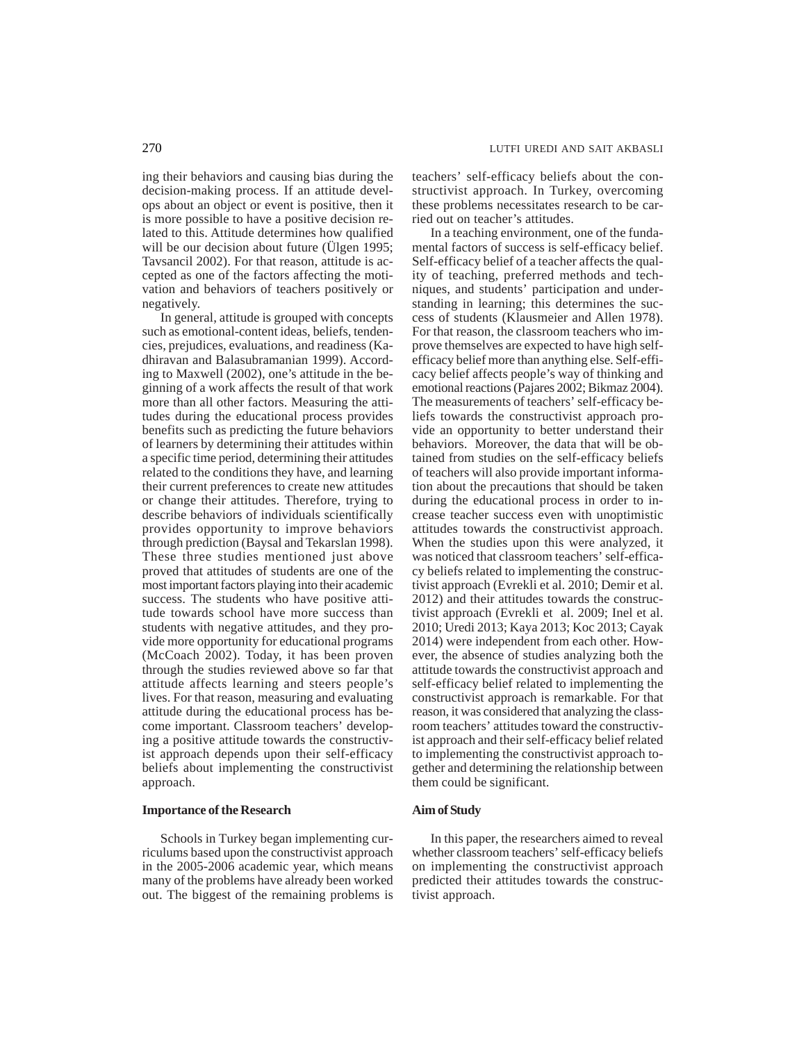ing their behaviors and causing bias during the decision-making process. If an attitude develops about an object or event is positive, then it is more possible to have a positive decision related to this. Attitude determines how qualified will be our decision about future (Ülgen 1995; Tavsancil 2002). For that reason, attitude is accepted as one of the factors affecting the motivation and behaviors of teachers positively or negatively.

In general, attitude is grouped with concepts such as emotional-content ideas, beliefs, tendencies, prejudices, evaluations, and readiness (Kadhiravan and Balasubramanian 1999). According to Maxwell (2002), one's attitude in the beginning of a work affects the result of that work more than all other factors. Measuring the attitudes during the educational process provides benefits such as predicting the future behaviors of learners by determining their attitudes within a specific time period, determining their attitudes related to the conditions they have, and learning their current preferences to create new attitudes or change their attitudes. Therefore, trying to describe behaviors of individuals scientifically provides opportunity to improve behaviors through prediction (Baysal and Tekarslan 1998). These three studies mentioned just above proved that attitudes of students are one of the most important factors playing into their academic success. The students who have positive attitude towards school have more success than students with negative attitudes, and they provide more opportunity for educational programs (McCoach 2002). Today, it has been proven through the studies reviewed above so far that attitude affects learning and steers people's lives. For that reason, measuring and evaluating attitude during the educational process has become important. Classroom teachers' developing a positive attitude towards the constructivist approach depends upon their self-efficacy beliefs about implementing the constructivist approach.

## **Importance of the Research**

Schools in Turkey began implementing curriculums based upon the constructivist approach in the 2005-2006 academic year, which means many of the problems have already been worked out. The biggest of the remaining problems is

teachers' self-efficacy beliefs about the constructivist approach. In Turkey, overcoming these problems necessitates research to be carried out on teacher's attitudes.

In a teaching environment, one of the fundamental factors of success is self-efficacy belief. Self-efficacy belief of a teacher affects the quality of teaching, preferred methods and techniques, and students' participation and understanding in learning; this determines the success of students (Klausmeier and Allen 1978). For that reason, the classroom teachers who improve themselves are expected to have high selfefficacy belief more than anything else. Self-efficacy belief affects people's way of thinking and emotional reactions (Pajares 2002; Bikmaz 2004). The measurements of teachers' self-efficacy beliefs towards the constructivist approach provide an opportunity to better understand their behaviors. Moreover, the data that will be obtained from studies on the self-efficacy beliefs of teachers will also provide important information about the precautions that should be taken during the educational process in order to increase teacher success even with unoptimistic attitudes towards the constructivist approach. When the studies upon this were analyzed, it was noticed that classroom teachers' self-efficacy beliefs related to implementing the constructivist approach (Evrekli et al. 2010; Demir et al. 2012) and their attitudes towards the constructivist approach (Evrekli et al. 2009; Inel et al. 2010; Uredi 2013; Kaya 2013; Koc 2013; Cayak 2014) were independent from each other. However, the absence of studies analyzing both the attitude towards the constructivist approach and self-efficacy belief related to implementing the constructivist approach is remarkable. For that reason, it was considered that analyzing the classroom teachers' attitudes toward the constructivist approach and their self-efficacy belief related to implementing the constructivist approach together and determining the relationship between them could be significant.

## **Aim of Study**

In this paper, the researchers aimed to reveal whether classroom teachers' self-efficacy beliefs on implementing the constructivist approach predicted their attitudes towards the constructivist approach.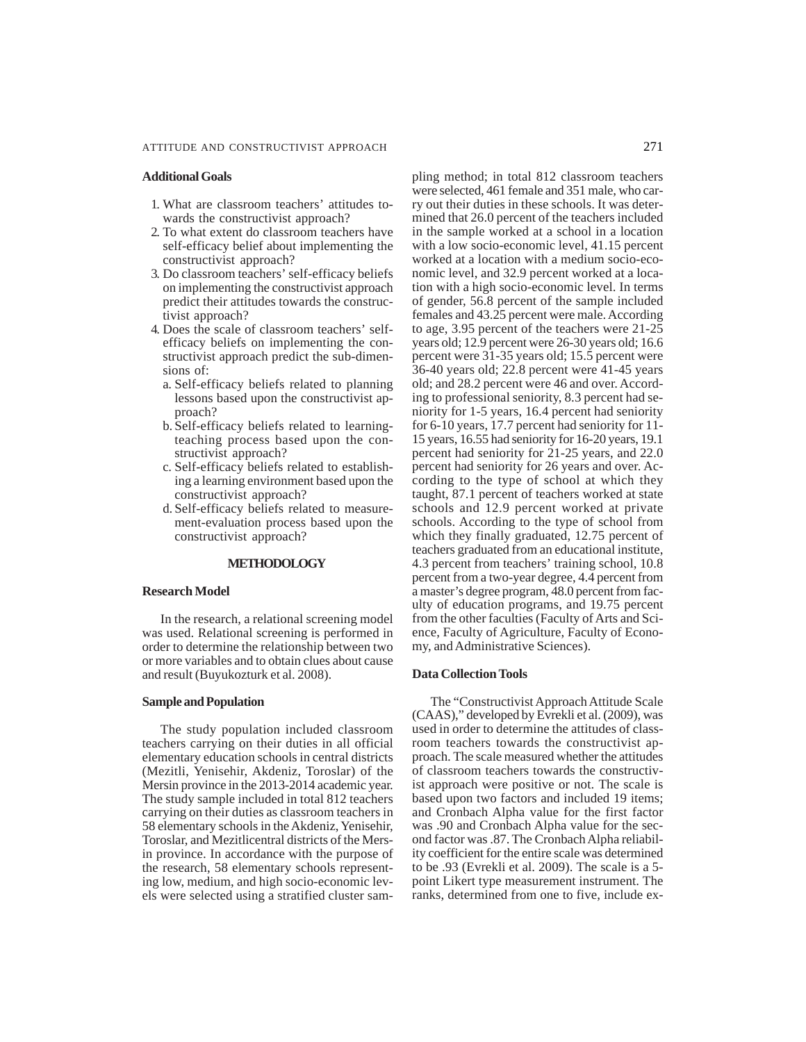## **Additional Goals**

- 1. What are classroom teachers' attitudes towards the constructivist approach?
- 2. To what extent do classroom teachers have self-efficacy belief about implementing the constructivist approach?
- 3. Do classroom teachers' self-efficacy beliefs on implementing the constructivist approach predict their attitudes towards the constructivist approach?
- 4. Does the scale of classroom teachers' selfefficacy beliefs on implementing the constructivist approach predict the sub-dimensions of:
	- a. Self-efficacy beliefs related to planning lessons based upon the constructivist approach?
	- b. Self-efficacy beliefs related to learningteaching process based upon the constructivist approach?
	- c. Self-efficacy beliefs related to establishing a learning environment based upon the constructivist approach?
	- d. Self-efficacy beliefs related to measurement-evaluation process based upon the constructivist approach?

## **METHODOLOGY**

#### **Research Model**

In the research, a relational screening model was used. Relational screening is performed in order to determine the relationship between two or more variables and to obtain clues about cause and result (Buyukozturk et al. 2008).

#### **Sample and Population**

The study population included classroom teachers carrying on their duties in all official elementary education schools in central districts (Mezitli, Yenisehir, Akdeniz, Toroslar) of the Mersin province in the 2013-2014 academic year. The study sample included in total 812 teachers carrying on their duties as classroom teachers in 58 elementary schools in the Akdeniz, Yenisehir, Toroslar, and Mezitlicentral districts of the Mersin province. In accordance with the purpose of the research, 58 elementary schools representing low, medium, and high socio-economic levels were selected using a stratified cluster sampling method; in total 812 classroom teachers were selected, 461 female and 351 male, who carry out their duties in these schools. It was determined that 26.0 percent of the teachers included in the sample worked at a school in a location with a low socio-economic level, 41.15 percent worked at a location with a medium socio-economic level, and 32.9 percent worked at a location with a high socio-economic level. In terms of gender, 56.8 percent of the sample included females and 43.25 percent were male. According to age, 3.95 percent of the teachers were 21-25 years old; 12.9 percent were 26-30 years old; 16.6 percent were 31-35 years old; 15.5 percent were 36-40 years old; 22.8 percent were 41-45 years old; and 28.2 percent were 46 and over. According to professional seniority, 8.3 percent had seniority for 1-5 years, 16.4 percent had seniority for 6-10 years, 17.7 percent had seniority for 11- 15 years, 16.55 had seniority for 16-20 years, 19.1 percent had seniority for 21-25 years, and 22.0 percent had seniority for 26 years and over. According to the type of school at which they taught, 87.1 percent of teachers worked at state schools and 12.9 percent worked at private schools. According to the type of school from which they finally graduated, 12.75 percent of teachers graduated from an educational institute, 4.3 percent from teachers' training school, 10.8 percent from a two-year degree, 4.4 percent from a master's degree program, 48.0 percent from faculty of education programs, and 19.75 percent from the other faculties (Faculty of Arts and Science, Faculty of Agriculture, Faculty of Economy, and Administrative Sciences).

#### **Data Collection Tools**

The "Constructivist Approach Attitude Scale (CAAS)," developed by Evrekli et al. (2009), was used in order to determine the attitudes of classroom teachers towards the constructivist approach. The scale measured whether the attitudes of classroom teachers towards the constructivist approach were positive or not. The scale is based upon two factors and included 19 items; and Cronbach Alpha value for the first factor was .90 and Cronbach Alpha value for the second factor was .87. The Cronbach Alpha reliability coefficient for the entire scale was determined to be .93 (Evrekli et al. 2009). The scale is a 5 point Likert type measurement instrument. The ranks, determined from one to five, include ex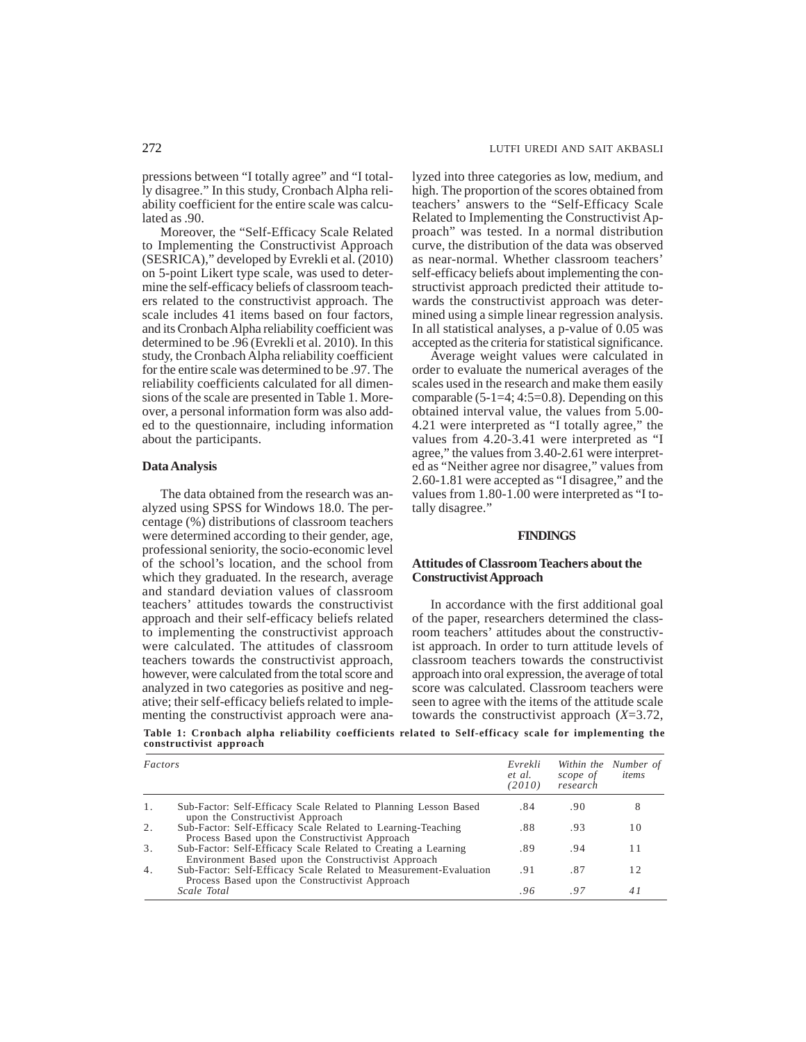pressions between "I totally agree" and "I totally disagree." In this study, Cronbach Alpha reliability coefficient for the entire scale was calculated as .90.

Moreover, the "Self-Efficacy Scale Related to Implementing the Constructivist Approach (SESRICA)," developed by Evrekli et al. (2010) on 5-point Likert type scale, was used to determine the self-efficacy beliefs of classroom teachers related to the constructivist approach. The scale includes 41 items based on four factors, and its Cronbach Alpha reliability coefficient was determined to be .96 (Evrekli et al. 2010). In this study, the Cronbach Alpha reliability coefficient for the entire scale was determined to be .97. The reliability coefficients calculated for all dimensions of the scale are presented in Table 1. Moreover, a personal information form was also added to the questionnaire, including information about the participants.

#### **Data Analysis**

The data obtained from the research was analyzed using SPSS for Windows 18.0. The percentage (%) distributions of classroom teachers were determined according to their gender, age, professional seniority, the socio-economic level of the school's location, and the school from which they graduated. In the research, average and standard deviation values of classroom teachers' attitudes towards the constructivist approach and their self-efficacy beliefs related to implementing the constructivist approach were calculated. The attitudes of classroom teachers towards the constructivist approach, however, were calculated from the total score and analyzed in two categories as positive and negative; their self-efficacy beliefs related to implementing the constructivist approach were analyzed into three categories as low, medium, and high. The proportion of the scores obtained from teachers' answers to the "Self-Efficacy Scale Related to Implementing the Constructivist Approach" was tested. In a normal distribution curve, the distribution of the data was observed as near-normal. Whether classroom teachers' self-efficacy beliefs about implementing the constructivist approach predicted their attitude towards the constructivist approach was determined using a simple linear regression analysis. In all statistical analyses, a p-value of 0.05 was accepted as the criteria for statistical significance.

Average weight values were calculated in order to evaluate the numerical averages of the scales used in the research and make them easily comparable  $(5-1=4; 4:5=0.8)$ . Depending on this obtained interval value, the values from 5.00- 4.21 were interpreted as "I totally agree," the values from 4.20-3.41 were interpreted as "I agree," the values from 3.40-2.61 were interpreted as "Neither agree nor disagree," values from 2.60-1.81 were accepted as "I disagree," and the values from 1.80-1.00 were interpreted as "I totally disagree."

#### **FINDINGS**

## **Attitudes of Classroom Teachers about the Constructivist Approach**

In accordance with the first additional goal of the paper, researchers determined the classroom teachers' attitudes about the constructivist approach. In order to turn attitude levels of classroom teachers towards the constructivist approach into oral expression, the average of total score was calculated. Classroom teachers were seen to agree with the items of the attitude scale towards the constructivist approach (*X*=3.72,

**Table 1: Cronbach alpha reliability coefficients related to Self-efficacy scale for implementing the constructivist approach**

| Factors |                                                                                                                      | Evrekli<br>et al.<br>(2010) | scope of<br>research | Within the Number of<br>items |
|---------|----------------------------------------------------------------------------------------------------------------------|-----------------------------|----------------------|-------------------------------|
| 1.      | Sub-Factor: Self-Efficacy Scale Related to Planning Lesson Based<br>upon the Constructivist Approach                 | .84                         | .90                  | 8                             |
| 2.      | Sub-Factor: Self-Efficacy Scale Related to Learning-Teaching<br>Process Based upon the Constructivist Approach       | .88                         | .93                  | 10                            |
| 3.      | Sub-Factor: Self-Efficacy Scale Related to Creating a Learning<br>Environment Based upon the Constructivist Approach | .89                         | .94                  | 11                            |
| 4.      | Sub-Factor: Self-Efficacy Scale Related to Measurement-Evaluation<br>Process Based upon the Constructivist Approach  | .91                         | .87                  | 12                            |
|         | Scale Total                                                                                                          | .96                         | -97                  | 4 i                           |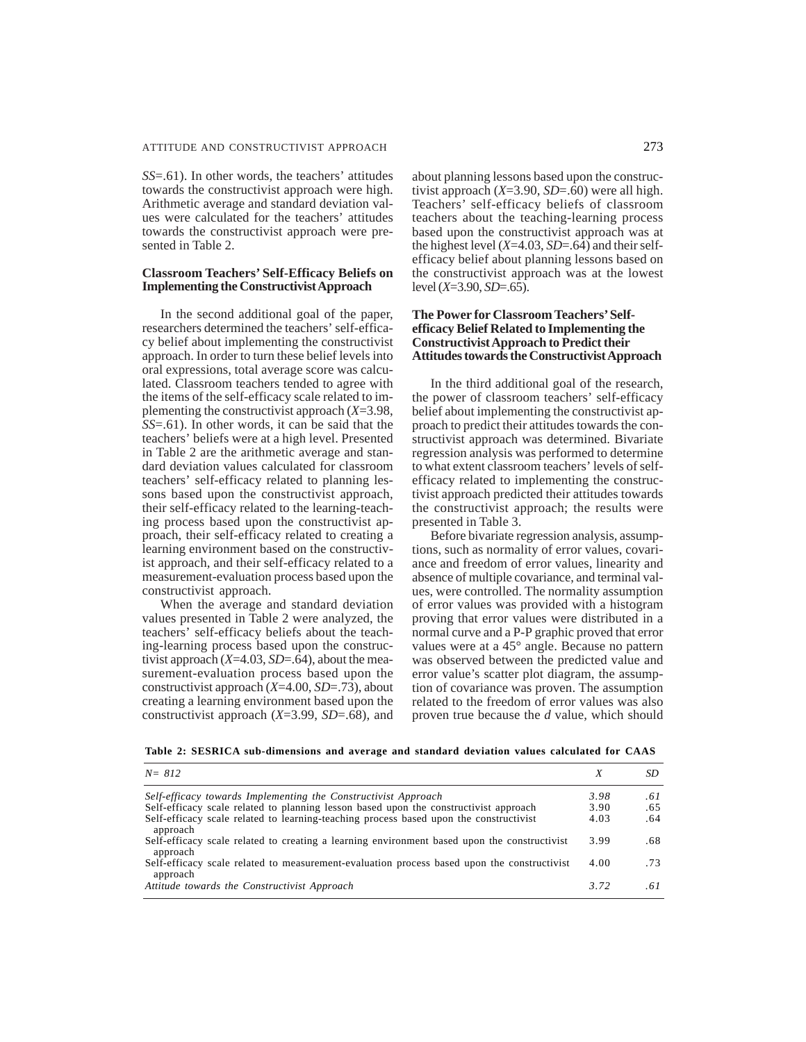*SS*=.61). In other words, the teachers' attitudes towards the constructivist approach were high. Arithmetic average and standard deviation values were calculated for the teachers' attitudes towards the constructivist approach were presented in Table 2.

## **Classroom Teachers' Self-Efficacy Beliefs on Implementing the Constructivist Approach**

In the second additional goal of the paper, researchers determined the teachers' self-efficacy belief about implementing the constructivist approach. In order to turn these belief levels into oral expressions, total average score was calculated. Classroom teachers tended to agree with the items of the self-efficacy scale related to implementing the constructivist approach (*X*=3.98, *SS*=.61). In other words, it can be said that the teachers' beliefs were at a high level. Presented in Table 2 are the arithmetic average and standard deviation values calculated for classroom teachers' self-efficacy related to planning lessons based upon the constructivist approach, their self-efficacy related to the learning-teaching process based upon the constructivist approach, their self-efficacy related to creating a learning environment based on the constructivist approach, and their self-efficacy related to a measurement-evaluation process based upon the constructivist approach.

When the average and standard deviation values presented in Table 2 were analyzed, the teachers' self-efficacy beliefs about the teaching-learning process based upon the constructivist approach (*X*=4.03, *SD*=.64), about the measurement-evaluation process based upon the constructivist approach (*X*=4.00, *SD*=.73), about creating a learning environment based upon the constructivist approach (*X*=3.99, *SD*=.68), and about planning lessons based upon the constructivist approach (*X*=3.90, *SD*=.60) were all high. Teachers' self-efficacy beliefs of classroom teachers about the teaching-learning process based upon the constructivist approach was at the highest level  $(X=4.03, SD=.64)$  and their selfefficacy belief about planning lessons based on the constructivist approach was at the lowest level (*X*=3.90, *SD*=.65).

## **The Power for Classroom Teachers' Selfefficacy Belief Related to Implementing the Constructivist Approach to Predict their Attitudes towards the Constructivist Approach**

In the third additional goal of the research, the power of classroom teachers' self-efficacy belief about implementing the constructivist approach to predict their attitudes towards the constructivist approach was determined. Bivariate regression analysis was performed to determine to what extent classroom teachers' levels of selfefficacy related to implementing the constructivist approach predicted their attitudes towards the constructivist approach; the results were presented in Table 3.

Before bivariate regression analysis, assumptions, such as normality of error values, covariance and freedom of error values, linearity and absence of multiple covariance, and terminal values, were controlled. The normality assumption of error values was provided with a histogram proving that error values were distributed in a normal curve and a P-P graphic proved that error values were at a 45° angle. Because no pattern was observed between the predicted value and error value's scatter plot diagram, the assumption of covariance was proven. The assumption related to the freedom of error values was also proven true because the *d* value, which should

|  |  | Table 2: SESRICA sub-dimensions and average and standard deviation values calculated for CAAS |  |  |  |  |  |  |  |  |  |
|--|--|-----------------------------------------------------------------------------------------------|--|--|--|--|--|--|--|--|--|
|--|--|-----------------------------------------------------------------------------------------------|--|--|--|--|--|--|--|--|--|

| $N = 812$                                                                                                |      |     |
|----------------------------------------------------------------------------------------------------------|------|-----|
| Self-efficacy towards Implementing the Constructivist Approach                                           | 3.98 | .61 |
| Self-efficacy scale related to planning lesson based upon the constructivist approach                    | 3.90 | .65 |
| Self-efficacy scale related to learning-teaching process based upon the constructivist<br>approach       | 4.03 | .64 |
| Self-efficacy scale related to creating a learning environment based upon the constructivist<br>approach | 3.99 | .68 |
| Self-efficacy scale related to measurement-evaluation process based upon the constructivist<br>approach  | 4.00 | .73 |
| Attitude towards the Constructivist Approach                                                             | 3.72 | -61 |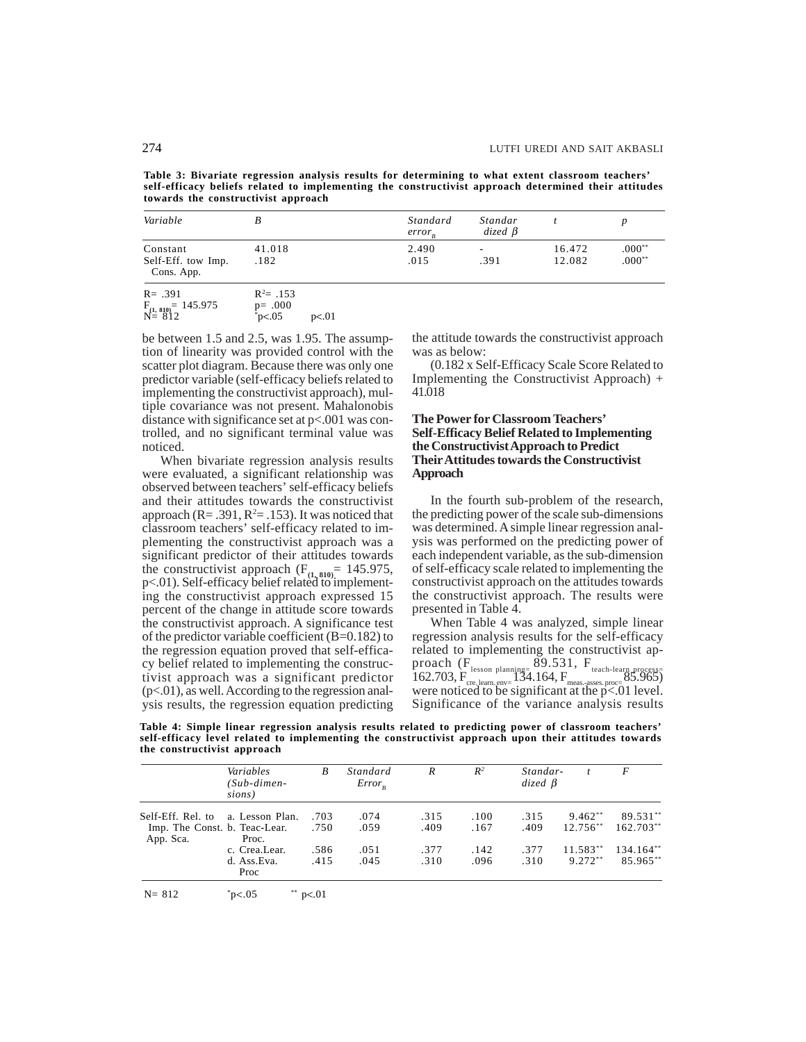**Table 3: Bivariate regression analysis results for determining to what extent classroom teachers' self-efficacy beliefs related to implementing the constructivist approach determined their attitudes towards the constructivist approach**

| Variable                                     | B                          | Standard<br>$error_{n}$ | Standar<br>$dized \beta$         |                  |                      |
|----------------------------------------------|----------------------------|-------------------------|----------------------------------|------------------|----------------------|
| Constant<br>Self-Eff. tow Imp.<br>Cons. App. | 41.018<br>.182             | 2.490<br>.015           | $\overline{\phantom{a}}$<br>.391 | 16.472<br>12.082 | $.000**$<br>$.000**$ |
| $R = .391$<br>$F_{(1, 810)} = 145.975$       | $R^2 = .153$<br>$p = .000$ |                         |                                  |                  |                      |

 $N = 812$  \* p<.05 p<.01

be between 1.5 and 2.5, was 1.95. The assumption of linearity was provided control with the scatter plot diagram. Because there was only one predictor variable (self-efficacy beliefs related to implementing the constructivist approach), multiple covariance was not present. Mahalonobis distance with significance set at p<.001 was controlled, and no significant terminal value was noticed.

When bivariate regression analysis results were evaluated, a significant relationship was observed between teachers' self-efficacy beliefs and their attitudes towards the constructivist approach ( $R = .391$ ,  $R^2 = .153$ ). It was noticed that classroom teachers' self-efficacy related to implementing the constructivist approach was a significant predictor of their attitudes towards the constructivist approach  $(F_{(1, 810)} = 145.975)$ , p<.01). Self-efficacy belief related to implementing the constructivist approach expressed 15 percent of the change in attitude score towards the constructivist approach. A significance test of the predictor variable coefficient  $(B=0.182)$  to the regression equation proved that self-efficacy belief related to implementing the constructivist approach was a significant predictor  $(p<.01)$ , as well. According to the regression analysis results, the regression equation predicting the attitude towards the constructivist approach was as below:

(0.182 x Self-Efficacy Scale Score Related to Implementing the Constructivist Approach) + 41.018

### **The Power for Classroom Teachers' Self-Efficacy Belief Related to Implementing the Constructivist Approach to Predict Their Attitudes towards the Constructivist Approach**

In the fourth sub-problem of the research, the predicting power of the scale sub-dimensions was determined. A simple linear regression analysis was performed on the predicting power of each independent variable, as the sub-dimension of self-efficacy scale related to implementing the constructivist approach on the attitudes towards the constructivist approach. The results were presented in Table 4.

When Table 4 was analyzed, simple linear regression analysis results for the self-efficacy related to implementing the constructivist approach  $(F_{\text{lesson planning}} 89.531, F_{\text{teach-learn progress}})$ 162.703, F<sub>cree</sub> learn. env= 134.164, F<sub>meas.-asses. proc= 85.965)<br>were noticed to be significant at the p<.01 level.</sub> Significance of the variance analysis results

**Table 4: Simple linear regression analysis results related to predicting power of classroom teachers' self-efficacy level related to implementing the constructivist approach upon their attitudes towards the constructivist approach**

|                                            | Variables<br>(Sub-dimen-<br>sions) | B    | Standard<br>$Error_{p}$ | $\overline{R}$ | $R^2$        | Standar-<br>$dized \beta$ | t.                       | F                       |
|--------------------------------------------|------------------------------------|------|-------------------------|----------------|--------------|---------------------------|--------------------------|-------------------------|
| Self-Eff. Rel. to                          | a. Lesson Plan.                    | .703 | .074                    | .315           | .100<br>.167 | .315<br>.409              | $9.462**$<br>$12.756***$ | 89.531**<br>$162.703**$ |
| Imp. The Const. b. Teac-Lear.<br>App. Sca. | Proc.                              | .750 | .059                    | .409           |              |                           |                          |                         |
|                                            | c. Crea.Lear.                      | .586 | .051                    | .377           | .142         | .377                      | $11.583**$               | 134.164**               |
|                                            | d. Ass.Eva.<br>Proc                | .415 | .045                    | .310           | .096         | .310                      | $9.272**$                | 85.965**                |

 $N = 812$   ${}^{*}p<.05$  $*$  p<.01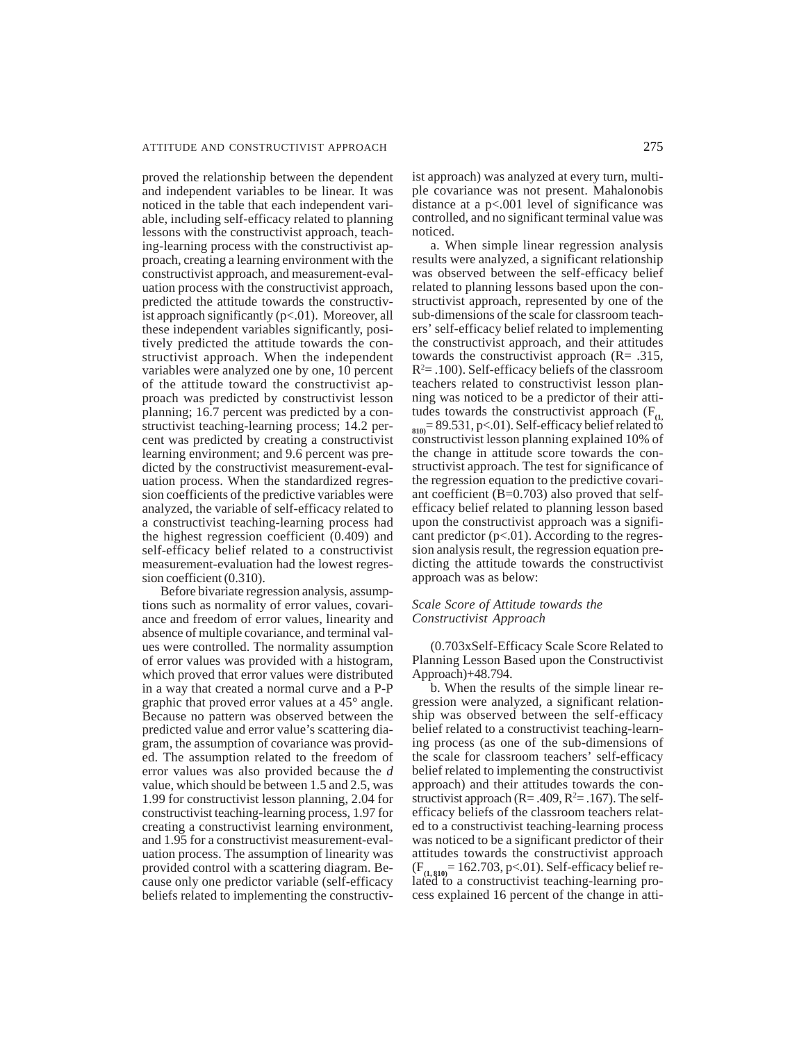proved the relationship between the dependent and independent variables to be linear. It was noticed in the table that each independent variable, including self-efficacy related to planning lessons with the constructivist approach, teaching-learning process with the constructivist approach, creating a learning environment with the constructivist approach, and measurement-evaluation process with the constructivist approach, predicted the attitude towards the constructivist approach significantly  $(p<.01)$ . Moreover, all these independent variables significantly, positively predicted the attitude towards the constructivist approach. When the independent variables were analyzed one by one, 10 percent of the attitude toward the constructivist approach was predicted by constructivist lesson planning; 16.7 percent was predicted by a constructivist teaching-learning process; 14.2 percent was predicted by creating a constructivist learning environment; and 9.6 percent was predicted by the constructivist measurement-evaluation process. When the standardized regression coefficients of the predictive variables were analyzed, the variable of self-efficacy related to a constructivist teaching-learning process had the highest regression coefficient (0.409) and self-efficacy belief related to a constructivist measurement-evaluation had the lowest regression coefficient (0.310).

Before bivariate regression analysis, assumptions such as normality of error values, covariance and freedom of error values, linearity and absence of multiple covariance, and terminal values were controlled. The normality assumption of error values was provided with a histogram, which proved that error values were distributed in a way that created a normal curve and a P-P graphic that proved error values at a 45° angle. Because no pattern was observed between the predicted value and error value's scattering diagram, the assumption of covariance was provided. The assumption related to the freedom of error values was also provided because the *d* value, which should be between 1.5 and 2.5, was 1.99 for constructivist lesson planning, 2.04 for constructivist teaching-learning process, 1.97 for creating a constructivist learning environment, and 1.95 for a constructivist measurement-evaluation process. The assumption of linearity was provided control with a scattering diagram. Because only one predictor variable (self-efficacy beliefs related to implementing the constructivist approach) was analyzed at every turn, multiple covariance was not present. Mahalonobis distance at a p<.001 level of significance was controlled, and no significant terminal value was noticed.

a. When simple linear regression analysis results were analyzed, a significant relationship was observed between the self-efficacy belief related to planning lessons based upon the constructivist approach, represented by one of the sub-dimensions of the scale for classroom teachers' self-efficacy belief related to implementing the constructivist approach, and their attitudes towards the constructivist approach (R= .315,  $R<sup>2</sup>=$ .100). Self-efficacy beliefs of the classroom teachers related to constructivist lesson planning was noticed to be a predictor of their attitudes towards the constructivist approach  $(F_{(1)})$  $B_{810}$  = 89.531, p <.01). Self-efficacy belief related to constructivist lesson planning explained 10% of the change in attitude score towards the constructivist approach. The test for significance of the regression equation to the predictive covariant coefficient  $(B=0.703)$  also proved that selfefficacy belief related to planning lesson based upon the constructivist approach was a significant predictor  $(p<.01)$ . According to the regression analysis result, the regression equation predicting the attitude towards the constructivist approach was as below:

#### *Scale Score of Attitude towards the Constructivist Approach*

(0.703xSelf-Efficacy Scale Score Related to Planning Lesson Based upon the Constructivist Approach)+48.794.

b. When the results of the simple linear regression were analyzed, a significant relationship was observed between the self-efficacy belief related to a constructivist teaching-learning process (as one of the sub-dimensions of the scale for classroom teachers' self-efficacy belief related to implementing the constructivist approach) and their attitudes towards the constructivist approach ( $R = .409$ ,  $R^2 = .167$ ). The selfefficacy beliefs of the classroom teachers related to a constructivist teaching-learning process was noticed to be a significant predictor of their attitudes towards the constructivist approach (F**(1, 810)**= 162.703, p<.01). Self-efficacy belief re-lated to a constructivist teaching-learning process explained 16 percent of the change in atti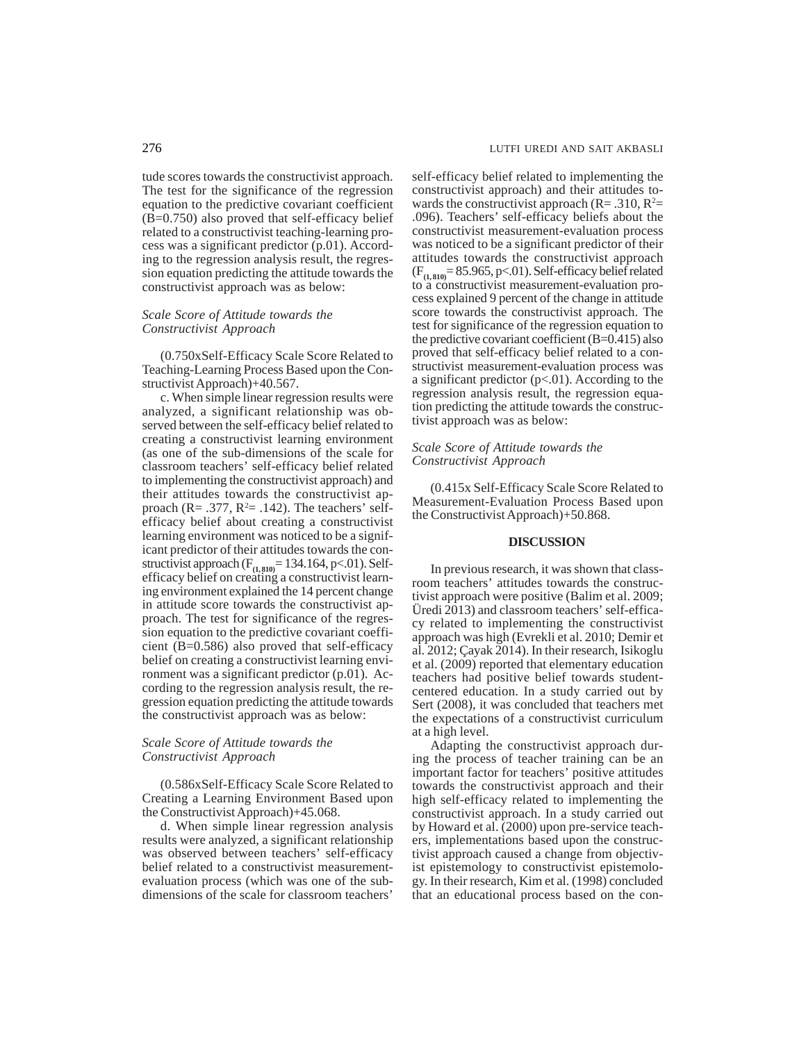tude scores towards the constructivist approach. The test for the significance of the regression equation to the predictive covariant coefficient (B=0.750) also proved that self-efficacy belief related to a constructivist teaching-learning process was a significant predictor (p.01). According to the regression analysis result, the regression equation predicting the attitude towards the constructivist approach was as below:

#### *Scale Score of Attitude towards the Constructivist Approach*

(0.750xSelf-Efficacy Scale Score Related to Teaching-Learning Process Based upon the Constructivist Approach)+40.567.

c. When simple linear regression results were analyzed, a significant relationship was observed between the self-efficacy belief related to creating a constructivist learning environment (as one of the sub-dimensions of the scale for classroom teachers' self-efficacy belief related to implementing the constructivist approach) and their attitudes towards the constructivist approach ( $\text{R} = .377$ ,  $\text{R}^2 = .142$ ). The teachers' selfefficacy belief about creating a constructivist learning environment was noticed to be a significant predictor of their attitudes towards the constructivist approach (F<sub>(1,810)</sub> = 134.164, p<.01). Self-<br>efficacy belief on creating a constructivist learning environment explained the 14 percent change in attitude score towards the constructivist approach. The test for significance of the regression equation to the predictive covariant coefficient (B=0.586) also proved that self-efficacy belief on creating a constructivist learning environment was a significant predictor (p.01). According to the regression analysis result, the regression equation predicting the attitude towards the constructivist approach was as below:

#### *Scale Score of Attitude towards the Constructivist Approach*

(0.586xSelf-Efficacy Scale Score Related to Creating a Learning Environment Based upon the Constructivist Approach)+45.068.

d. When simple linear regression analysis results were analyzed, a significant relationship was observed between teachers' self-efficacy belief related to a constructivist measurementevaluation process (which was one of the subdimensions of the scale for classroom teachers'

self-efficacy belief related to implementing the constructivist approach) and their attitudes towards the constructivist approach ( $R = .310$ ,  $R^2 =$ .096). Teachers' self-efficacy beliefs about the constructivist measurement-evaluation process was noticed to be a significant predictor of their attitudes towards the constructivist approach (F**(1, 810)**= 85.965, p<.01). Self-efficacy belief related to a constructivist measurement-evaluation process explained 9 percent of the change in attitude score towards the constructivist approach. The test for significance of the regression equation to the predictive covariant coefficient  $(B=0.415)$  also proved that self-efficacy belief related to a constructivist measurement-evaluation process was a significant predictor  $(p<.01)$ . According to the regression analysis result, the regression equation predicting the attitude towards the constructivist approach was as below:

## *Scale Score of Attitude towards the Constructivist Approach*

(0.415x Self-Efficacy Scale Score Related to Measurement-Evaluation Process Based upon the Constructivist Approach)+50.868.

#### **DISCUSSION**

In previous research, it was shown that classroom teachers' attitudes towards the constructivist approach were positive (Balim et al. 2009; Üredi 2013) and classroom teachers' self-efficacy related to implementing the constructivist approach was high (Evrekli et al. 2010; Demir et al. 2012; Çayak 2014). In their research, Isikoglu et al. (2009) reported that elementary education teachers had positive belief towards studentcentered education. In a study carried out by Sert (2008), it was concluded that teachers met the expectations of a constructivist curriculum at a high level.

Adapting the constructivist approach during the process of teacher training can be an important factor for teachers' positive attitudes towards the constructivist approach and their high self-efficacy related to implementing the constructivist approach. In a study carried out by Howard et al. (2000) upon pre-service teachers, implementations based upon the constructivist approach caused a change from objectivist epistemology to constructivist epistemology. In their research, Kim et al. (1998) concluded that an educational process based on the con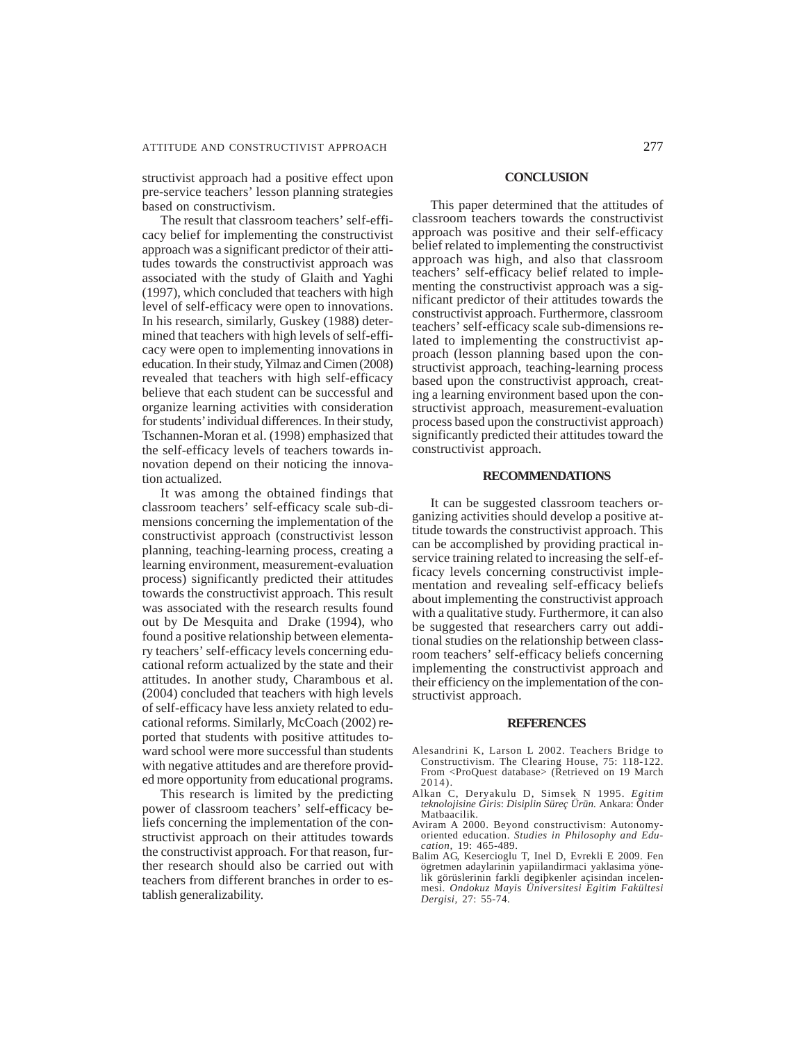structivist approach had a positive effect upon pre-service teachers' lesson planning strategies based on constructivism.

The result that classroom teachers' self-efficacy belief for implementing the constructivist approach was a significant predictor of their attitudes towards the constructivist approach was associated with the study of Glaith and Yaghi (1997), which concluded that teachers with high level of self-efficacy were open to innovations. In his research, similarly, Guskey (1988) determined that teachers with high levels of self-efficacy were open to implementing innovations in education. In their study, Yilmaz and Cimen (2008) revealed that teachers with high self-efficacy believe that each student can be successful and organize learning activities with consideration for students' individual differences. In their study, Tschannen-Moran et al. (1998) emphasized that the self-efficacy levels of teachers towards innovation depend on their noticing the innovation actualized.

It was among the obtained findings that classroom teachers' self-efficacy scale sub-dimensions concerning the implementation of the constructivist approach (constructivist lesson planning, teaching-learning process, creating a learning environment, measurement-evaluation process) significantly predicted their attitudes towards the constructivist approach. This result was associated with the research results found out by De Mesquita and Drake (1994), who found a positive relationship between elementary teachers' self-efficacy levels concerning educational reform actualized by the state and their attitudes. In another study, Charambous et al. (2004) concluded that teachers with high levels of self-efficacy have less anxiety related to educational reforms. Similarly, McCoach (2002) reported that students with positive attitudes toward school were more successful than students with negative attitudes and are therefore provided more opportunity from educational programs.

This research is limited by the predicting power of classroom teachers' self-efficacy beliefs concerning the implementation of the constructivist approach on their attitudes towards the constructivist approach. For that reason, further research should also be carried out with teachers from different branches in order to establish generalizability.

#### **CONCLUSION**

This paper determined that the attitudes of classroom teachers towards the constructivist approach was positive and their self-efficacy belief related to implementing the constructivist approach was high, and also that classroom teachers' self-efficacy belief related to implementing the constructivist approach was a significant predictor of their attitudes towards the constructivist approach. Furthermore, classroom teachers' self-efficacy scale sub-dimensions related to implementing the constructivist approach (lesson planning based upon the constructivist approach, teaching-learning process based upon the constructivist approach, creating a learning environment based upon the constructivist approach, measurement-evaluation process based upon the constructivist approach) significantly predicted their attitudes toward the constructivist approach.

## **RECOMMENDATIONS**

It can be suggested classroom teachers organizing activities should develop a positive attitude towards the constructivist approach. This can be accomplished by providing practical inservice training related to increasing the self-efficacy levels concerning constructivist implementation and revealing self-efficacy beliefs about implementing the constructivist approach with a qualitative study. Furthermore, it can also be suggested that researchers carry out additional studies on the relationship between classroom teachers' self-efficacy beliefs concerning implementing the constructivist approach and their efficiency on the implementation of the constructivist approach.

#### **REFERENCES**

- Alesandrini K, Larson L 2002. Teachers Bridge to Constructivism. The Clearing House, 75: 118-122. From <ProQuest database> (Retrieved on 19 March 2014).
- Alkan C, Deryakulu D, Simsek N 1995. *Egitim teknolojisine Giris*: *Disiplin Süreç Ürün.* Ankara: Önder Matbaacilik.
- Aviram A 2000. Beyond constructivism: Autonomyoriented education. *Studies in Philosophy and Education,* 19: 465-489.
- Balim AG, Kesercioglu T, Inel D, Evrekli E 2009. Fen ögretmen adaylarinin yapiilandirmaci yaklasima yönelik görüslerinin farkli degiþkenler açisindan incelenmesi. *Ondokuz Mayis Üniversitesi Egitim Fakültesi Dergisi,* 27: 55-74.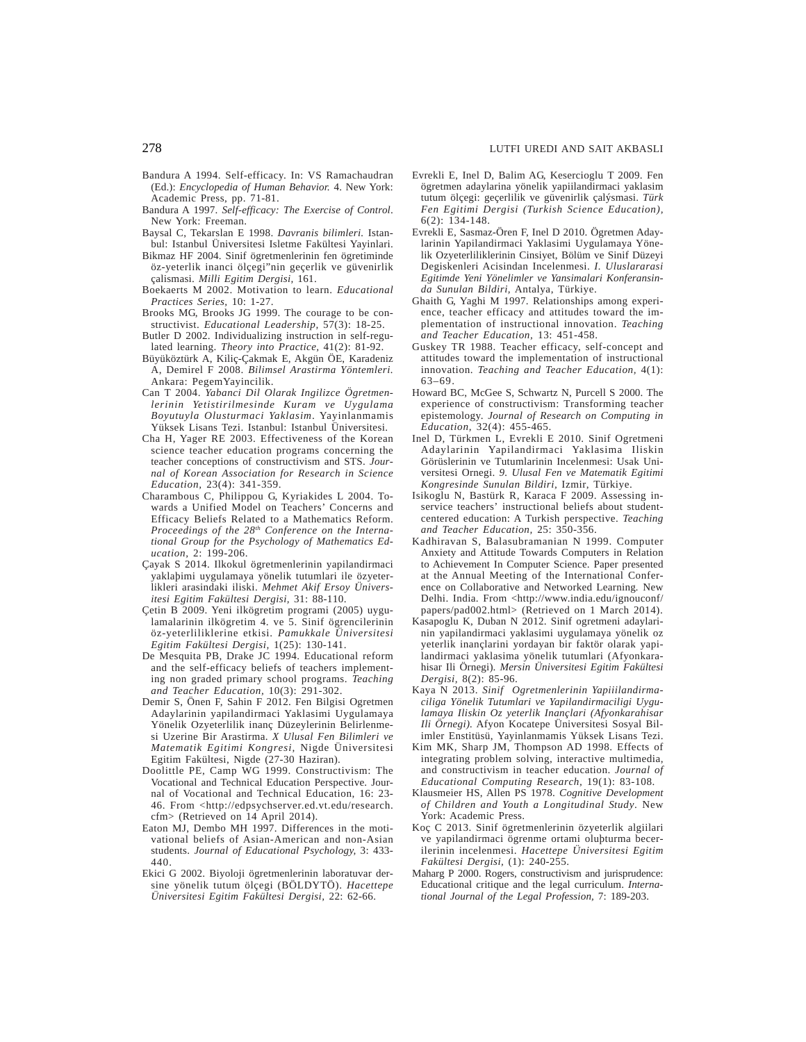- Bandura A 1994. Self-efficacy. In: VS Ramachaudran (Ed.): *Encyclopedia of Human Behavior.* 4. New York: Academic Press, pp. 71-81.
- Bandura A 1997. *Self-efficacy: The Exercise of Control*. New York: Freeman.
- Baysal C, Tekarslan E 1998. *Davranis bilimleri.* Istanbul: Istanbul Üniversitesi Isletme Fakültesi Yayinlari.
- Bikmaz HF 2004. Sinif ögretmenlerinin fen ögretiminde öz-yeterlik inanci ölçegi"nin geçerlik ve güvenirlik çalismasi. *Milli Egitim Dergisi,* 161.
- Boekaerts M 2002. Motivation to learn. *Educational Practices Series,* 10: 1-27.
- Brooks MG, Brooks JG 1999. The courage to be constructivist. *Educational Leadership,* 57(3): 18-25.
- Butler D 2002. Individualizing instruction in self-regulated learning. *Theory into Practice,* 41(2): 81-92.
- Büyüköztürk A, Kiliç-Çakmak E, Akgün ÖE, Karadeniz A, Demirel F 2008. *Bilimsel Arastirma Yöntemleri.* Ankara: PegemYayincilik.
- Can T 2004. *Yabanci Dil Olarak Ingilizce Ögretmenlerinin Yetistirilmesinde Kuram ve Uygulama Boyutuyla Olusturmaci Yaklasim*. Yayinlanmamis Yüksek Lisans Tezi. Istanbul: Istanbul Üniversitesi.
- Cha H, Yager RE 2003. Effectiveness of the Korean science teacher education programs concerning the teacher conceptions of constructivism and STS. *Journal of Korean Association for Research in Science Education,* 23(4): 341-359.
- Charambous C, Philippou G, Kyriakides L 2004. Towards a Unified Model on Teachers' Concerns and Efficacy Beliefs Related to a Mathematics Reform. *Proceedings of the 28th Conference on the International Group for the Psychology of Mathematics Education,* 2: 199-206.
- Çayak S 2014. Ilkokul ögretmenlerinin yapilandirmaci yaklaþimi uygulamaya yönelik tutumlari ile özyeterlikleri arasindaki iliski. *Mehmet Akif Ersoy Üniversitesi Egitim Fakültesi Dergisi,* 31: 88-110.
- Çetin B 2009. Yeni ilkögretim programi (2005) uygulamalarinin ilkögretim 4. ve 5. Sinif ögrencilerinin öz-yeterliliklerine etkisi. *Pamukkale Üniversitesi Egitim Fakültesi Dergisi,* 1(25): 130-141.
- De Mesquita PB, Drake JC 1994. Educational reform and the self-efficacy beliefs of teachers implementing non graded primary school programs. *Teaching and Teacher Education,* 10(3): 291-302.
- Demir S, Önen F, Sahin F 2012. Fen Bilgisi Ogretmen Adaylarinin yapilandirmaci Yaklasimi Uygulamaya Yönelik Ozyeterlilik inanç Düzeylerinin Belirlenmesi Uzerine Bir Arastirma. *X Ulusal Fen Bilimleri ve Matematik Egitimi Kongresi,* Nigde Üniversitesi Egitim Fakültesi, Nigde (27-30 Haziran).
- Doolittle PE, Camp WG 1999. Constructivism: The Vocational and Technical Education Perspective. Journal of Vocational and Technical Education, 16: 23- 46. From <http://edpsychserver.ed.vt.edu/research. cfm> (Retrieved on 14 April 2014).
- Eaton MJ, Dembo MH 1997. Differences in the motivational beliefs of Asian-American and non-Asian students. *Journal of Educational Psychology,* 3: 433- 440.
- Ekici G 2002. Biyoloji ögretmenlerinin laboratuvar dersine yönelik tutum ölçegi (BÖLDYTÖ). *Hacettepe Üniversitesi Egitim Fakültesi Dergisi,* 22: 62-66.
- Evrekli E, Inel D, Balim AG, Kesercioglu T 2009. Fen ögretmen adaylarina yönelik yapiilandirmaci yaklasim tutum ölçegi: geçerlilik ve güvenirlik çalýsmasi. *Türk Fen Egitimi Dergisi (Turkish Science Education),* 6(2): 134-148.
- Evrekli E, Sasmaz-Ören F, Inel D 2010. Ögretmen Adaylarinin Yapilandirmaci Yaklasimi Uygulamaya Yönelik Ozyeterliliklerinin Cinsiyet, Bölüm ve Sinif Düzeyi Degiskenleri Acisindan Incelenmesi. *I. Uluslararasi Egitimde Yeni Yönelimler ve Yansimalari Konferansinda Sunulan Bildiri,* Antalya, Türkiye.
- Ghaith G, Yaghi M 1997. Relationships among experience, teacher efficacy and attitudes toward the implementation of instructional innovation. *Teaching and Teacher Education,* 13: 451-458.
- Guskey TR 1988. Teacher efficacy, self-concept and attitudes toward the implementation of instructional innovation. *Teaching and Teacher Education,* 4(1): 63–69.
- Howard BC, McGee S, Schwartz N, Purcell S 2000. The experience of constructivism: Transforming teacher epistemology. *Journal of Research on Computing in Education,* 32(4): 455-465.
- Inel D, Türkmen L, Evrekli E 2010. Sinif Ogretmeni Adaylarinin Yapilandirmaci Yaklasima Iliskin Görüslerinin ve Tutumlarinin Incelenmesi: Usak Universitesi Ornegi. *9. Ulusal Fen ve Matematik Egitimi Kongresinde Sunulan Bildiri,* Izmir, Türkiye.
- Isikoglu N, Bastürk R, Karaca F 2009. Assessing inservice teachers' instructional beliefs about studentcentered education: A Turkish perspective. *Teaching and Teacher Education,* 25: 350-356.
- Kadhiravan S, Balasubramanian N 1999. Computer Anxiety and Attitude Towards Computers in Relation to Achievement In Computer Science. Paper presented at the Annual Meeting of the International Conference on Collaborative and Networked Learning*.* New Delhi. India. From <http://www.india.edu/ignouconf/ papers/pad002.html> (Retrieved on 1 March 2014).
- Kasapoglu K, Duban N 2012. Sinif ogretmeni adaylarinin yapilandirmaci yaklasimi uygulamaya yönelik oz yeterlik inançlarini yordayan bir faktör olarak yapilandirmaci yaklasima yönelik tutumlari (Afyonkarahisar Ili Örnegi). *Mersin Üniversitesi Egitim Fakültesi Dergisi,* 8(2): 85-96.
- Kaya N 2013. *Sinif Ogretmenlerinin Yapiiilandirmaciliga Yönelik Tutumlari ve Yapilandirmaciligi Uygulamaya Iliskin Oz yeterlik Inançlari (Afyonkarahisar Ili Örnegi).* Afyon Kocatepe Üniversitesi Sosyal Bilimler Enstitüsü, Yayinlanmamis Yüksek Lisans Tezi.
- Kim MK, Sharp JM, Thompson AD 1998. Effects of integrating problem solving, interactive multimedia, and constructivism in teacher education. *Journal of Educational Computing Research,* 19(1): 83-108.
- Klausmeier HS, Allen PS 1978. *Cognitive Development of Children and Youth a Longitudinal Study*. New York: Academic Press.
- Koç C 2013. Sinif ögretmenlerinin özyeterlik algiilari ve yapilandirmaci ögrenme ortami oluþturma becerilerinin incelenmesi. *Hacettepe Üniversitesi Egitim Fakültesi Dergisi,* (1): 240-255.
- Maharg P 2000. Rogers, constructivism and jurisprudence: Educational critique and the legal curriculum. *International Journal of the Legal Profession,* 7: 189-203.